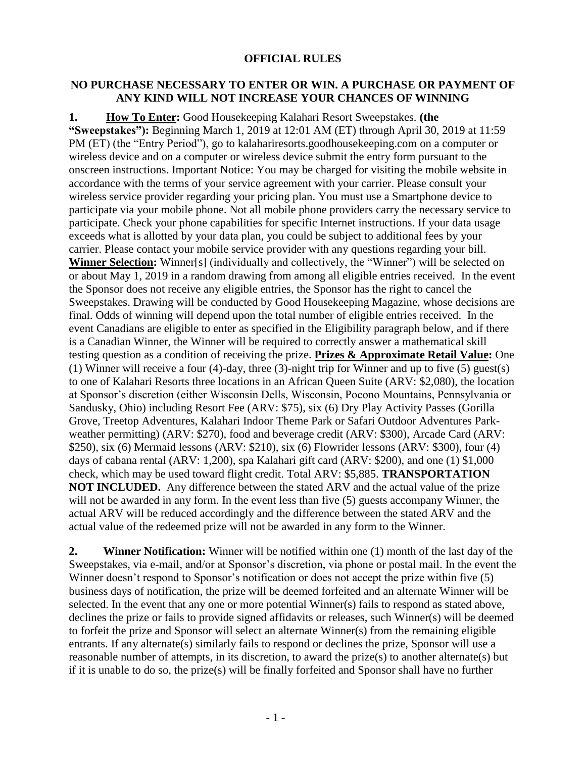## **OFFICIAL RULES**

## **NO PURCHASE NECESSARY TO ENTER OR WIN. A PURCHASE OR PAYMENT OF ANY KIND WILL NOT INCREASE YOUR CHANCES OF WINNING**

**1. How To Enter:** Good Housekeeping Kalahari Resort Sweepstakes. **(the "Sweepstakes"):** Beginning March 1, 2019 at 12:01 AM (ET) through April 30, 2019 at 11:59 PM (ET) (the "Entry Period"), go to kalahariresorts.goodhousekeeping.com on a computer or wireless device and on a computer or wireless device submit the entry form pursuant to the onscreen instructions. Important Notice: You may be charged for visiting the mobile website in accordance with the terms of your service agreement with your carrier. Please consult your wireless service provider regarding your pricing plan. You must use a Smartphone device to participate via your mobile phone. Not all mobile phone providers carry the necessary service to participate. Check your phone capabilities for specific Internet instructions. If your data usage exceeds what is allotted by your data plan, you could be subject to additional fees by your carrier. Please contact your mobile service provider with any questions regarding your bill. **Winner Selection:** Winner[s] (individually and collectively, the "Winner") will be selected on or about May 1, 2019 in a random drawing from among all eligible entries received. In the event the Sponsor does not receive any eligible entries, the Sponsor has the right to cancel the Sweepstakes. Drawing will be conducted by Good Housekeeping Magazine, whose decisions are final. Odds of winning will depend upon the total number of eligible entries received.In the event Canadians are eligible to enter as specified in the Eligibility paragraph below, and if there is a Canadian Winner, the Winner will be required to correctly answer a mathematical skill testing question as a condition of receiving the prize. **Prizes & Approximate Retail Value:** One (1) Winner will receive a four (4)-day, three (3)-night trip for Winner and up to five (5) guest(s) to one of Kalahari Resorts three locations in an African Queen Suite (ARV: \$2,080), the location at Sponsor's discretion (either Wisconsin Dells, Wisconsin, Pocono Mountains, Pennsylvania or Sandusky, Ohio) including Resort Fee (ARV: \$75), six (6) Dry Play Activity Passes (Gorilla Grove, Treetop Adventures, Kalahari Indoor Theme Park or Safari Outdoor Adventures Parkweather permitting) (ARV: \$270), food and beverage credit (ARV: \$300), Arcade Card (ARV: \$250), six (6) Mermaid lessons (ARV: \$210), six (6) Flowrider lessons (ARV: \$300), four (4) days of cabana rental (ARV: 1,200), spa Kalahari gift card (ARV: \$200), and one (1) \$1,000 check, which may be used toward flight credit. Total ARV: \$5,885. **TRANSPORTATION NOT INCLUDED.** Any difference between the stated ARV and the actual value of the prize will not be awarded in any form. In the event less than five  $(5)$  guests accompany Winner, the actual ARV will be reduced accordingly and the difference between the stated ARV and the actual value of the redeemed prize will not be awarded in any form to the Winner.

**2. Winner Notification:** Winner will be notified within one (1) month of the last day of the Sweepstakes, via e-mail, and/or at Sponsor's discretion, via phone or postal mail. In the event the Winner doesn't respond to Sponsor's notification or does not accept the prize within five (5) business days of notification, the prize will be deemed forfeited and an alternate Winner will be selected. In the event that any one or more potential Winner(s) fails to respond as stated above, declines the prize or fails to provide signed affidavits or releases, such Winner(s) will be deemed to forfeit the prize and Sponsor will select an alternate Winner(s) from the remaining eligible entrants. If any alternate(s) similarly fails to respond or declines the prize, Sponsor will use a reasonable number of attempts, in its discretion, to award the prize(s) to another alternate(s) but if it is unable to do so, the prize(s) will be finally forfeited and Sponsor shall have no further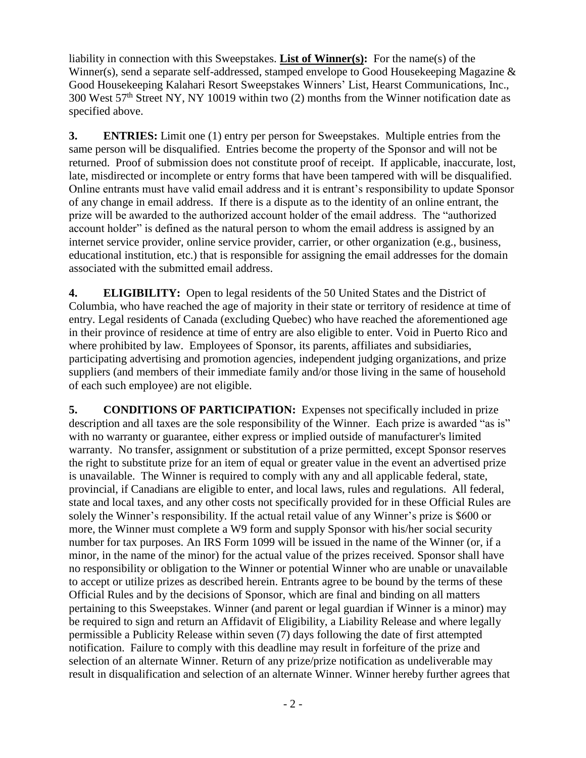liability in connection with this Sweepstakes. **List of Winner(s):** For the name(s) of the Winner(s), send a separate self-addressed, stamped envelope to Good Housekeeping Magazine & Good Housekeeping Kalahari Resort Sweepstakes Winners' List, Hearst Communications, Inc., 300 West 57th Street NY, NY 10019 within two (2) months from the Winner notification date as specified above.

**3. ENTRIES:** Limit one (1) entry per person for Sweepstakes. Multiple entries from the same person will be disqualified. Entries become the property of the Sponsor and will not be returned. Proof of submission does not constitute proof of receipt. If applicable, inaccurate, lost, late, misdirected or incomplete or entry forms that have been tampered with will be disqualified. Online entrants must have valid email address and it is entrant's responsibility to update Sponsor of any change in email address. If there is a dispute as to the identity of an online entrant, the prize will be awarded to the authorized account holder of the email address. The "authorized account holder" is defined as the natural person to whom the email address is assigned by an internet service provider, online service provider, carrier, or other organization (e.g., business, educational institution, etc.) that is responsible for assigning the email addresses for the domain associated with the submitted email address.

**4. ELIGIBILITY:** Open to legal residents of the 50 United States and the District of Columbia, who have reached the age of majority in their state or territory of residence at time of entry. Legal residents of Canada (excluding Quebec) who have reached the aforementioned age in their province of residence at time of entry are also eligible to enter. Void in Puerto Rico and where prohibited by law. Employees of Sponsor, its parents, affiliates and subsidiaries, participating advertising and promotion agencies, independent judging organizations, and prize suppliers (and members of their immediate family and/or those living in the same of household of each such employee) are not eligible.

**5. CONDITIONS OF PARTICIPATION:** Expenses not specifically included in prize description and all taxes are the sole responsibility of the Winner. Each prize is awarded "as is" with no warranty or guarantee, either express or implied outside of manufacturer's limited warranty. No transfer, assignment or substitution of a prize permitted, except Sponsor reserves the right to substitute prize for an item of equal or greater value in the event an advertised prize is unavailable. The Winner is required to comply with any and all applicable federal, state, provincial, if Canadians are eligible to enter, and local laws, rules and regulations. All federal, state and local taxes, and any other costs not specifically provided for in these Official Rules are solely the Winner's responsibility. If the actual retail value of any Winner's prize is \$600 or more, the Winner must complete a W9 form and supply Sponsor with his/her social security number for tax purposes. An IRS Form 1099 will be issued in the name of the Winner (or, if a minor, in the name of the minor) for the actual value of the prizes received. Sponsor shall have no responsibility or obligation to the Winner or potential Winner who are unable or unavailable to accept or utilize prizes as described herein. Entrants agree to be bound by the terms of these Official Rules and by the decisions of Sponsor, which are final and binding on all matters pertaining to this Sweepstakes. Winner (and parent or legal guardian if Winner is a minor) may be required to sign and return an Affidavit of Eligibility, a Liability Release and where legally permissible a Publicity Release within seven (7) days following the date of first attempted notification. Failure to comply with this deadline may result in forfeiture of the prize and selection of an alternate Winner. Return of any prize/prize notification as undeliverable may result in disqualification and selection of an alternate Winner. Winner hereby further agrees that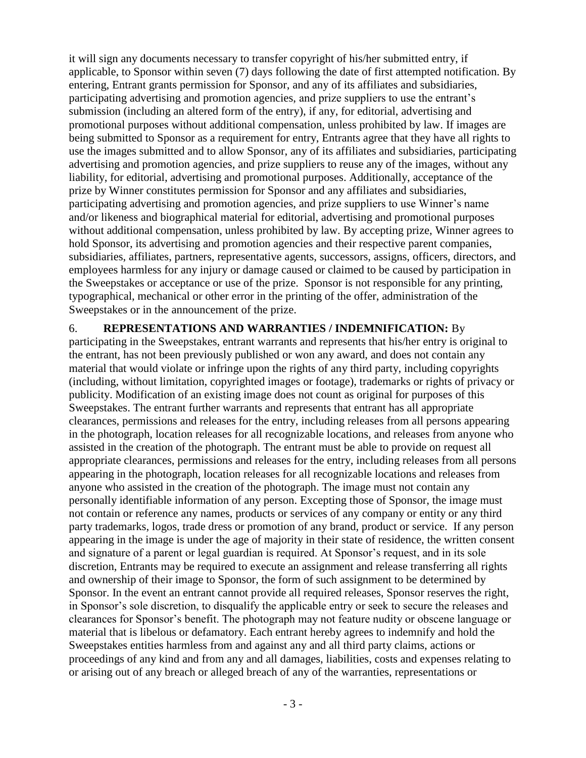it will sign any documents necessary to transfer copyright of his/her submitted entry, if applicable, to Sponsor within seven (7) days following the date of first attempted notification. By entering, Entrant grants permission for Sponsor, and any of its affiliates and subsidiaries, participating advertising and promotion agencies, and prize suppliers to use the entrant's submission (including an altered form of the entry), if any, for editorial, advertising and promotional purposes without additional compensation, unless prohibited by law. If images are being submitted to Sponsor as a requirement for entry, Entrants agree that they have all rights to use the images submitted and to allow Sponsor, any of its affiliates and subsidiaries, participating advertising and promotion agencies, and prize suppliers to reuse any of the images, without any liability, for editorial, advertising and promotional purposes. Additionally, acceptance of the prize by Winner constitutes permission for Sponsor and any affiliates and subsidiaries, participating advertising and promotion agencies, and prize suppliers to use Winner's name and/or likeness and biographical material for editorial, advertising and promotional purposes without additional compensation, unless prohibited by law. By accepting prize, Winner agrees to hold Sponsor, its advertising and promotion agencies and their respective parent companies, subsidiaries, affiliates, partners, representative agents, successors, assigns, officers, directors, and employees harmless for any injury or damage caused or claimed to be caused by participation in the Sweepstakes or acceptance or use of the prize. Sponsor is not responsible for any printing, typographical, mechanical or other error in the printing of the offer, administration of the Sweepstakes or in the announcement of the prize.

## 6. **REPRESENTATIONS AND WARRANTIES / INDEMNIFICATION:** By

participating in the Sweepstakes, entrant warrants and represents that his/her entry is original to the entrant, has not been previously published or won any award, and does not contain any material that would violate or infringe upon the rights of any third party, including copyrights (including, without limitation, copyrighted images or footage), trademarks or rights of privacy or publicity. Modification of an existing image does not count as original for purposes of this Sweepstakes. The entrant further warrants and represents that entrant has all appropriate clearances, permissions and releases for the entry, including releases from all persons appearing in the photograph, location releases for all recognizable locations, and releases from anyone who assisted in the creation of the photograph. The entrant must be able to provide on request all appropriate clearances, permissions and releases for the entry, including releases from all persons appearing in the photograph, location releases for all recognizable locations and releases from anyone who assisted in the creation of the photograph. The image must not contain any personally identifiable information of any person. Excepting those of Sponsor, the image must not contain or reference any names, products or services of any company or entity or any third party trademarks, logos, trade dress or promotion of any brand, product or service. If any person appearing in the image is under the age of majority in their state of residence, the written consent and signature of a parent or legal guardian is required. At Sponsor's request, and in its sole discretion, Entrants may be required to execute an assignment and release transferring all rights and ownership of their image to Sponsor, the form of such assignment to be determined by Sponsor. In the event an entrant cannot provide all required releases, Sponsor reserves the right, in Sponsor's sole discretion, to disqualify the applicable entry or seek to secure the releases and clearances for Sponsor's benefit. The photograph may not feature nudity or obscene language or material that is libelous or defamatory. Each entrant hereby agrees to indemnify and hold the Sweepstakes entities harmless from and against any and all third party claims, actions or proceedings of any kind and from any and all damages, liabilities, costs and expenses relating to or arising out of any breach or alleged breach of any of the warranties, representations or